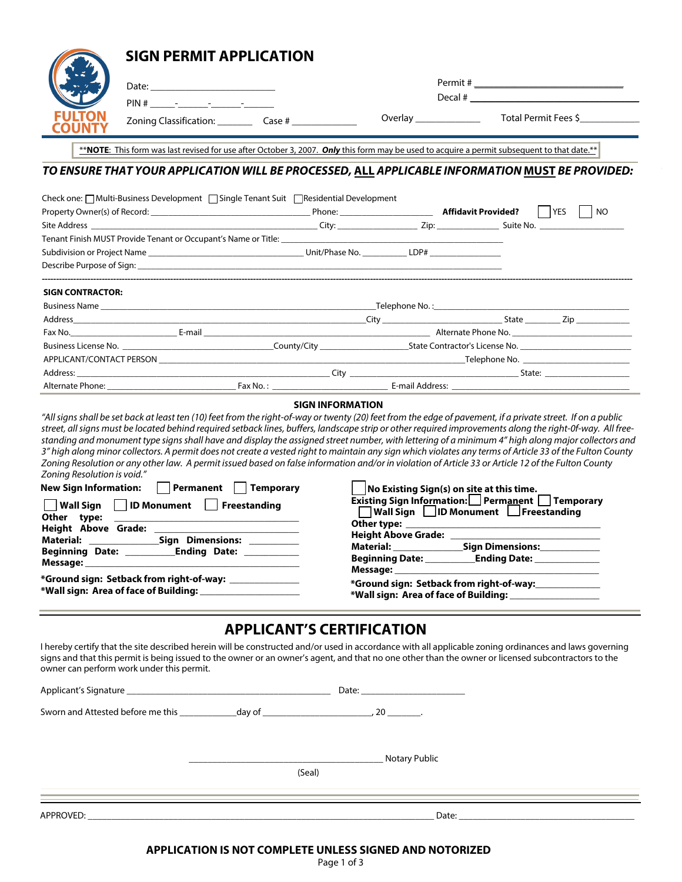| <b>SIGN PERMIT APPLICATION</b>                                                                                                                                                                                                                                                                                                                                                                                                                                                                                                                                                                                                                                                                                                                                                                                                                                                                                                                                  |  |                                                                                                                          |                                                                                          |  |
|-----------------------------------------------------------------------------------------------------------------------------------------------------------------------------------------------------------------------------------------------------------------------------------------------------------------------------------------------------------------------------------------------------------------------------------------------------------------------------------------------------------------------------------------------------------------------------------------------------------------------------------------------------------------------------------------------------------------------------------------------------------------------------------------------------------------------------------------------------------------------------------------------------------------------------------------------------------------|--|--------------------------------------------------------------------------------------------------------------------------|------------------------------------------------------------------------------------------|--|
| Date: <u>Date: Exploration of the second second</u> control of the second second second second second second second second second second second second second second second second second second second second second second second                                                                                                                                                                                                                                                                                                                                                                                                                                                                                                                                                                                                                                                                                                                             |  |                                                                                                                          |                                                                                          |  |
| $PIN # - - - -$                                                                                                                                                                                                                                                                                                                                                                                                                                                                                                                                                                                                                                                                                                                                                                                                                                                                                                                                                 |  |                                                                                                                          |                                                                                          |  |
| <b>COUNT</b>                                                                                                                                                                                                                                                                                                                                                                                                                                                                                                                                                                                                                                                                                                                                                                                                                                                                                                                                                    |  |                                                                                                                          |                                                                                          |  |
|                                                                                                                                                                                                                                                                                                                                                                                                                                                                                                                                                                                                                                                                                                                                                                                                                                                                                                                                                                 |  |                                                                                                                          |                                                                                          |  |
| **NOTE: This form was last revised for use after October 3, 2007. Only this form may be used to acquire a permit subsequent to that date.**                                                                                                                                                                                                                                                                                                                                                                                                                                                                                                                                                                                                                                                                                                                                                                                                                     |  |                                                                                                                          |                                                                                          |  |
| TO ENSURE THAT YOUR APPLICATION WILL BE PROCESSED, ALL APPLICABLE INFORMATION <u>MUST</u> BE PROVIDED:                                                                                                                                                                                                                                                                                                                                                                                                                                                                                                                                                                                                                                                                                                                                                                                                                                                          |  |                                                                                                                          |                                                                                          |  |
| Check one: □ Multi-Business Development □ Single Tenant Suit □ Residential Development                                                                                                                                                                                                                                                                                                                                                                                                                                                                                                                                                                                                                                                                                                                                                                                                                                                                          |  |                                                                                                                          |                                                                                          |  |
|                                                                                                                                                                                                                                                                                                                                                                                                                                                                                                                                                                                                                                                                                                                                                                                                                                                                                                                                                                 |  |                                                                                                                          |                                                                                          |  |
|                                                                                                                                                                                                                                                                                                                                                                                                                                                                                                                                                                                                                                                                                                                                                                                                                                                                                                                                                                 |  |                                                                                                                          |                                                                                          |  |
|                                                                                                                                                                                                                                                                                                                                                                                                                                                                                                                                                                                                                                                                                                                                                                                                                                                                                                                                                                 |  |                                                                                                                          |                                                                                          |  |
|                                                                                                                                                                                                                                                                                                                                                                                                                                                                                                                                                                                                                                                                                                                                                                                                                                                                                                                                                                 |  |                                                                                                                          |                                                                                          |  |
|                                                                                                                                                                                                                                                                                                                                                                                                                                                                                                                                                                                                                                                                                                                                                                                                                                                                                                                                                                 |  |                                                                                                                          |                                                                                          |  |
| <b>SIGN CONTRACTOR:</b>                                                                                                                                                                                                                                                                                                                                                                                                                                                                                                                                                                                                                                                                                                                                                                                                                                                                                                                                         |  |                                                                                                                          |                                                                                          |  |
|                                                                                                                                                                                                                                                                                                                                                                                                                                                                                                                                                                                                                                                                                                                                                                                                                                                                                                                                                                 |  |                                                                                                                          |                                                                                          |  |
|                                                                                                                                                                                                                                                                                                                                                                                                                                                                                                                                                                                                                                                                                                                                                                                                                                                                                                                                                                 |  |                                                                                                                          |                                                                                          |  |
| Fax No. 2008. [19] E-mail E-mail E-mail E-mail E-mail E-mail E-mail E-mail Alternate Phone No. 2008. [19] E-mail E-mail E-mail E-mail E-mail E-mail E-mail E-mail E-mail E-mail E-mail E-mail E-mail E-mail E-mail E-mail E-ma                                                                                                                                                                                                                                                                                                                                                                                                                                                                                                                                                                                                                                                                                                                                  |  |                                                                                                                          |                                                                                          |  |
|                                                                                                                                                                                                                                                                                                                                                                                                                                                                                                                                                                                                                                                                                                                                                                                                                                                                                                                                                                 |  |                                                                                                                          |                                                                                          |  |
|                                                                                                                                                                                                                                                                                                                                                                                                                                                                                                                                                                                                                                                                                                                                                                                                                                                                                                                                                                 |  |                                                                                                                          |                                                                                          |  |
|                                                                                                                                                                                                                                                                                                                                                                                                                                                                                                                                                                                                                                                                                                                                                                                                                                                                                                                                                                 |  |                                                                                                                          |                                                                                          |  |
|                                                                                                                                                                                                                                                                                                                                                                                                                                                                                                                                                                                                                                                                                                                                                                                                                                                                                                                                                                 |  |                                                                                                                          |                                                                                          |  |
| <b>SIGN INFORMATION</b><br>"All signs shall be set back at least ten (10) feet from the right-of-way or twenty (20) feet from the edge of pavement, if a private street. If on a public<br>street, all signs must be located behind required setback lines, buffers, landscape strip or other required improvements along the right-0f-way. All free-<br>standing and monument type signs shall have and display the assigned street number, with lettering of a minimum 4" high along major collectors and<br>3" high along minor collectors. A permit does not create a vested right to maintain any sign which violates any terms of Article 33 of the Fulton County<br>Zoning Resolution or any other law. A permit issued based on false information and/or in violation of Article 33 or Article 12 of the Fulton County<br>Zoning Resolution is void."<br>New Sign Information: Permanent Temporary<br>$\vert$ No Existing Sign(s) on site at this time. |  |                                                                                                                          |                                                                                          |  |
| ID Monument   Freestanding<br>Wall Sign  <br>Other type:                                                                                                                                                                                                                                                                                                                                                                                                                                                                                                                                                                                                                                                                                                                                                                                                                                                                                                        |  | │ Wall Sign   ID Monument   Freestanding                                                                                 | Existing Sign Information: Permanent Temporary                                           |  |
| Height Above Grade: _______<br>Sign Dimensions:<br>Material:                                                                                                                                                                                                                                                                                                                                                                                                                                                                                                                                                                                                                                                                                                                                                                                                                                                                                                    |  | Other type: ______<br><b>Height Above Grade:</b>                                                                         |                                                                                          |  |
| Message: New York Processing Contractor                                                                                                                                                                                                                                                                                                                                                                                                                                                                                                                                                                                                                                                                                                                                                                                                                                                                                                                         |  |                                                                                                                          | Sign Dimensions:_____________<br>Beginning Date: ____________ Ending Date: _____________ |  |
| *Ground sign: Setback from right-of-way: _______________<br>*Wall sign: Area of face of Building: _______________________                                                                                                                                                                                                                                                                                                                                                                                                                                                                                                                                                                                                                                                                                                                                                                                                                                       |  | Message: _________<br>the control of the control of the control<br>*Ground sign: Setback from right-of-way:_____________ |                                                                                          |  |
| <b>APPLICANT'S CERTIFICATION</b><br>I hereby certify that the site described herein will be constructed and/or used in accordance with all applicable zoning ordinances and laws governing                                                                                                                                                                                                                                                                                                                                                                                                                                                                                                                                                                                                                                                                                                                                                                      |  |                                                                                                                          |                                                                                          |  |

signs and that this permit is being issued to the owner or an owner's agent, and that no one other than the owner or licensed subcontractors to the owner can perform work under this permit.

|                                                                                                                                                                                                                               |        | Date: <u>Date: Experimental Part of the Second Contract of the Second Contract of the Second Contract of the Second Contract of the Second Contract of the Second Contract of the Second Contract of the Second Contract of the </u> |
|-------------------------------------------------------------------------------------------------------------------------------------------------------------------------------------------------------------------------------|--------|--------------------------------------------------------------------------------------------------------------------------------------------------------------------------------------------------------------------------------------|
|                                                                                                                                                                                                                               |        |                                                                                                                                                                                                                                      |
|                                                                                                                                                                                                                               | (Seal) | Notary Public                                                                                                                                                                                                                        |
| APPROVED: the contract of the contract of the contract of the contract of the contract of the contract of the contract of the contract of the contract of the contract of the contract of the contract of the contract of the |        | Date: the contract of the contract of the contract of the contract of the contract of the contract of the contract of the contract of the contract of the contract of the contract of the contract of the contract of the cont       |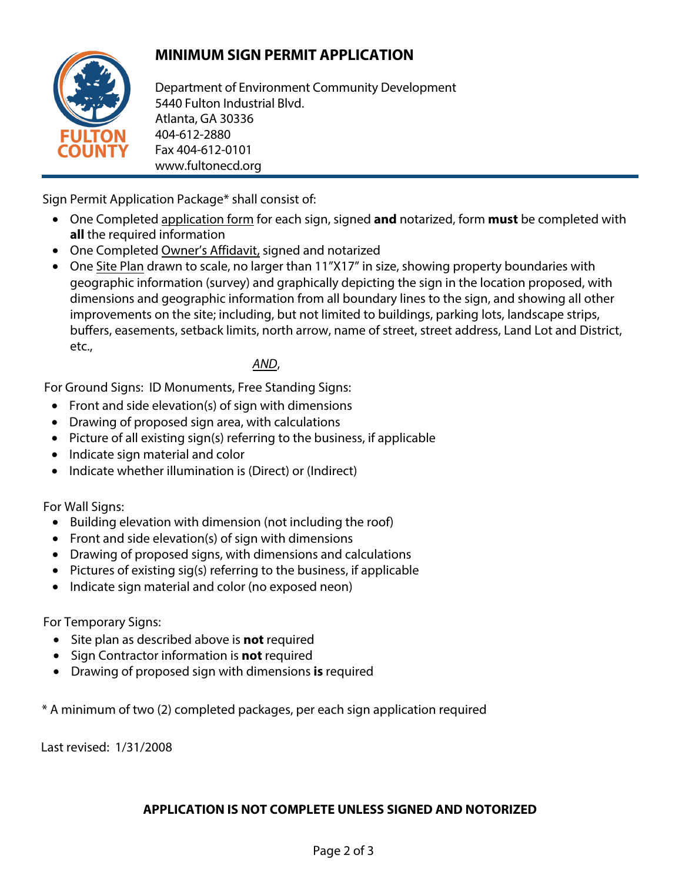## **MINIMUM SIGN PERMIT APPLICATION**



Department of Environment Community Development 5440 Fulton Industrial Blvd. Atlanta, GA 30336 404-612-2880 Fax 404-612-0101 www.fultonecd.org

Sign Permit Application Package\* shall consist of:

- One Completed application form for each sign, signed **and** notarized, form **must** be completed with **all** the required information
- One Completed Owner's Affidavit, signed and notarized
- One Site Plan drawn to scale, no larger than 11"X17" in size, showing property boundaries with geographic information (survey) and graphically depicting the sign in the location proposed, with dimensions and geographic information from all boundary lines to the sign, and showing all other improvements on the site; including, but not limited to buildings, parking lots, landscape strips, buffers, easements, setback limits, north arrow, name of street, street address, Land Lot and District, etc.,

AND,

For Ground Signs: ID Monuments, Free Standing Signs:

- Front and side elevation(s) of sign with dimensions
- Drawing of proposed sign area, with calculations
- Picture of all existing sign(s) referring to the business, if applicable
- Indicate sign material and color
- Indicate whether illumination is (Direct) or (Indirect)

For Wall Signs:

- Building elevation with dimension (not including the roof)
- Front and side elevation(s) of sign with dimensions
- Drawing of proposed signs, with dimensions and calculations
- Pictures of existing sig(s) referring to the business, if applicable
- Indicate sign material and color (no exposed neon)

For Temporary Signs:

- Site plan as described above is **not** required
- Sign Contractor information is **not** required
- Drawing of proposed sign with dimensions **is** required

\* A minimum of two (2) completed packages, per each sign application required

Last revised: 1/31/2008

## **APPLICATION IS NOT COMPLETE UNLESS SIGNED AND NOTORIZED**